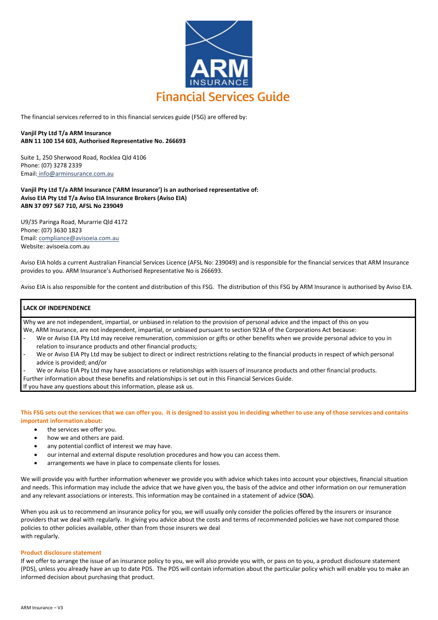

The financial services referred to in this financial services guide (FSG) are offered by:

# **Vanjil Pty Ltd T/a ARM Insurance ABN 11 100 154 603, Authorised Representative No. 266693**

Suite 1, 250 Sherwood Road, Rocklea Qld 4106 Phone: (07) 3278 2339 Email: [info@arminsurance.com.au](mailto:info@arminsurance.com.au)

**Vanjil Pty Ltd T/a ARM Insurance ('ARM Insurance') is an authorised representative of: Aviso EIA Pty Ltd T/a Aviso EIA Insurance Brokers (Aviso EIA) ABN 37 097 567 710, AFSL No 239049** 

U9/35 Paringa Road, Murarrie Qld 4172 Phone: (07) 3630 1823 Email: [compliance@avisoeia.com.au](mailto:compliance@avisoeia.com.au)  Website: avisoeia.com.au

Aviso EIA holds a current Australian Financial Services Licence (AFSL No: 239049) and is responsible for the financial services that ARM Insurance provides to you. ARM Insurance's Authorised Representative No is 266693.

Aviso EIA is also responsible for the content and distribution of this FSG. The distribution of this FSG by ARM Insurance is authorised by Aviso EIA.

# **LACK OF INDEPENDENCE**

Why we are not independent, impartial, or unbiased in relation to the provision of personal advice and the impact of this on you We, ARM Insurance, are not independent, impartial, or unbiased pursuant to section 923A of the Corporations Act because:

- We or Aviso EIA Pty Ltd may receive remuneration, commission or gifts or other benefits when we provide personal advice to you in relation to insurance products and other financial products;
- We or Aviso EIA Pty Ltd may be subject to direct or indirect restrictions relating to the financial products in respect of which personal advice is provided; and/or
- We or Aviso EIA Pty Ltd may have associations or relationships with issuers of insurance products and other financial products.

Further information about these benefits and relationships is set out in this Financial Services Guide.

If you have any questions about this information, please ask us.

**This FSG sets out the services that we can offer you. It is designed to assist you in deciding whether to use any of those services and contains important information about:**

- the services we offer you.
- how we and others are paid.
- any potential conflict of interest we may have.
- our internal and external dispute resolution procedures and how you can access them.
- arrangements we have in place to compensate clients for losses.

We will provide you with further information whenever we provide you with advice which takes into account your objectives, financial situation and needs. This information may include the advice that we have given you, the basis of the advice and other information on our remuneration and any relevant associations or interests. This information may be contained in a statement of advice (**SOA**).

When you ask us to recommend an insurance policy for you, we will usually only consider the policies offered by the insurers or insurance providers that we deal with regularly. In giving you advice about the costs and terms of recommended policies we have not compared those policies to other policies available, other than from those insurers we deal with regularly.

## **Product disclosure statement**

If we offer to arrange the issue of an insurance policy to you, we will also provide you with, or pass on to you, a product disclosure statement (PDS), unless you already have an up to date PDS. The PDS will contain information about the particular policy which will enable you to make an informed decision about purchasing that product.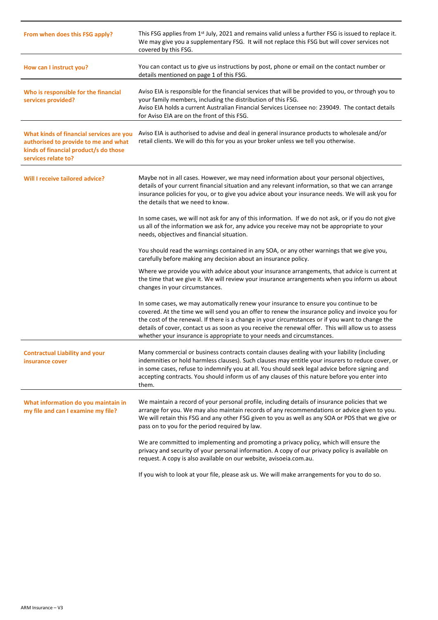| From when does this FSG apply?                                                                                                                   | This FSG applies from 1 <sup>st</sup> July, 2021 and remains valid unless a further FSG is issued to replace it.<br>We may give you a supplementary FSG. It will not replace this FSG but will cover services not<br>covered by this FSG.                                                                                                                                                                                                                                      |
|--------------------------------------------------------------------------------------------------------------------------------------------------|--------------------------------------------------------------------------------------------------------------------------------------------------------------------------------------------------------------------------------------------------------------------------------------------------------------------------------------------------------------------------------------------------------------------------------------------------------------------------------|
| How can I instruct you?                                                                                                                          | You can contact us to give us instructions by post, phone or email on the contact number or<br>details mentioned on page 1 of this FSG.                                                                                                                                                                                                                                                                                                                                        |
| Who is responsible for the financial<br>services provided?                                                                                       | Aviso EIA is responsible for the financial services that will be provided to you, or through you to<br>your family members, including the distribution of this FSG.<br>Aviso EIA holds a current Australian Financial Services Licensee no: 239049. The contact details<br>for Aviso EIA are on the front of this FSG.                                                                                                                                                         |
| What kinds of financial services are you<br>authorised to provide to me and what<br>kinds of financial product/s do those<br>services relate to? | Aviso EIA is authorised to advise and deal in general insurance products to wholesale and/or<br>retail clients. We will do this for you as your broker unless we tell you otherwise.                                                                                                                                                                                                                                                                                           |
| Will I receive tailored advice?                                                                                                                  | Maybe not in all cases. However, we may need information about your personal objectives,<br>details of your current financial situation and any relevant information, so that we can arrange<br>insurance policies for you, or to give you advice about your insurance needs. We will ask you for<br>the details that we need to know.                                                                                                                                         |
|                                                                                                                                                  | In some cases, we will not ask for any of this information. If we do not ask, or if you do not give<br>us all of the information we ask for, any advice you receive may not be appropriate to your<br>needs, objectives and financial situation.                                                                                                                                                                                                                               |
|                                                                                                                                                  | You should read the warnings contained in any SOA, or any other warnings that we give you,<br>carefully before making any decision about an insurance policy.                                                                                                                                                                                                                                                                                                                  |
|                                                                                                                                                  | Where we provide you with advice about your insurance arrangements, that advice is current at<br>the time that we give it. We will review your insurance arrangements when you inform us about<br>changes in your circumstances.                                                                                                                                                                                                                                               |
|                                                                                                                                                  | In some cases, we may automatically renew your insurance to ensure you continue to be<br>covered. At the time we will send you an offer to renew the insurance policy and invoice you for<br>the cost of the renewal. If there is a change in your circumstances or if you want to change the<br>details of cover, contact us as soon as you receive the renewal offer. This will allow us to assess<br>whether your insurance is appropriate to your needs and circumstances. |
| <b>Contractual Liability and your</b><br>insurance cover                                                                                         | Many commercial or business contracts contain clauses dealing with your liability (including<br>indemnities or hold harmless clauses). Such clauses may entitle your insurers to reduce cover, or<br>in some cases, refuse to indemnify you at all. You should seek legal advice before signing and<br>accepting contracts. You should inform us of any clauses of this nature before you enter into<br>them.                                                                  |
| What information do you maintain in<br>my file and can I examine my file?                                                                        | We maintain a record of your personal profile, including details of insurance policies that we<br>arrange for you. We may also maintain records of any recommendations or advice given to you.<br>We will retain this FSG and any other FSG given to you as well as any SOA or PDS that we give or<br>pass on to you for the period required by law.                                                                                                                           |
|                                                                                                                                                  | We are committed to implementing and promoting a privacy policy, which will ensure the<br>privacy and security of your personal information. A copy of our privacy policy is available on<br>request. A copy is also available on our website, avisoeia.com.au.                                                                                                                                                                                                                |
|                                                                                                                                                  | If you wish to look at your file, please ask us. We will make arrangements for you to do so.                                                                                                                                                                                                                                                                                                                                                                                   |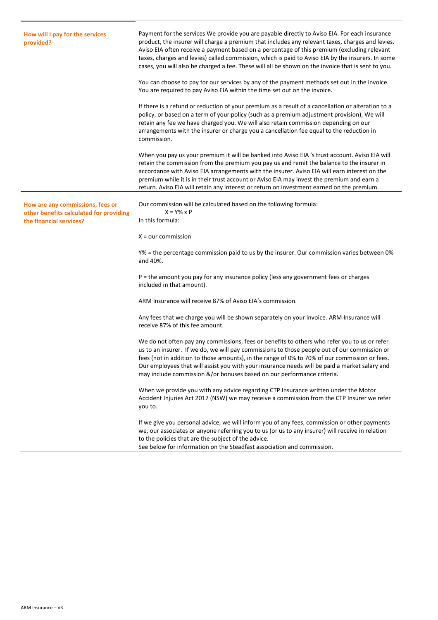| How will I pay for the services<br>provided?                                                           | Payment for the services We provide you are payable directly to Aviso EIA. For each insurance<br>product, the insurer will charge a premium that includes any relevant taxes, charges and levies.<br>Aviso EIA often receive a payment based on a percentage of this premium (excluding relevant<br>taxes, charges and levies) called commission, which is paid to Aviso EIA by the insurers. In some<br>cases, you will also be charged a fee. These will all be shown on the invoice that is sent to you. |
|--------------------------------------------------------------------------------------------------------|-------------------------------------------------------------------------------------------------------------------------------------------------------------------------------------------------------------------------------------------------------------------------------------------------------------------------------------------------------------------------------------------------------------------------------------------------------------------------------------------------------------|
|                                                                                                        | You can choose to pay for our services by any of the payment methods set out in the invoice.<br>You are required to pay Aviso EIA within the time set out on the invoice.                                                                                                                                                                                                                                                                                                                                   |
|                                                                                                        | If there is a refund or reduction of your premium as a result of a cancellation or alteration to a<br>policy, or based on a term of your policy (such as a premium adjustment provision), We will<br>retain any fee we have charged you. We will also retain commission depending on our<br>arrangements with the insurer or charge you a cancellation fee equal to the reduction in<br>commission.                                                                                                         |
|                                                                                                        | When you pay us your premium it will be banked into Aviso EIA 's trust account. Aviso EIA will<br>retain the commission from the premium you pay us and remit the balance to the insurer in<br>accordance with Aviso EIA arrangements with the insurer. Aviso EIA will earn interest on the<br>premium while it is in their trust account or Aviso EIA may invest the premium and earn a<br>return. Aviso EIA will retain any interest or return on investment earned on the premium.                       |
| How are any commissions, fees or<br>other benefits calculated for providing<br>the financial services? | Our commission will be calculated based on the following formula:<br>$X = Y\% \times P$<br>In this formula:                                                                                                                                                                                                                                                                                                                                                                                                 |
|                                                                                                        | $X = our$ commission                                                                                                                                                                                                                                                                                                                                                                                                                                                                                        |
|                                                                                                        | Y% = the percentage commission paid to us by the insurer. Our commission varies between 0%<br>and 40%.                                                                                                                                                                                                                                                                                                                                                                                                      |
|                                                                                                        | P = the amount you pay for any insurance policy (less any government fees or charges<br>included in that amount).                                                                                                                                                                                                                                                                                                                                                                                           |
|                                                                                                        | ARM Insurance will receive 87% of Aviso EIA's commission.                                                                                                                                                                                                                                                                                                                                                                                                                                                   |
|                                                                                                        | Any fees that we charge you will be shown separately on your invoice. ARM Insurance will<br>receive 87% of this fee amount.                                                                                                                                                                                                                                                                                                                                                                                 |
|                                                                                                        | We do not often pay any commissions, fees or benefits to others who refer you to us or refer<br>us to an insurer. If we do, we will pay commissions to those people out of our commission or<br>fees (not in addition to those amounts), in the range of 0% to 70% of our commission or fees.<br>Our employees that will assist you with your insurance needs will be paid a market salary and<br>may include commission &/or bonuses based on our performance criteria.                                    |
|                                                                                                        | When we provide you with any advice regarding CTP Insurance written under the Motor<br>Accident Injuries Act 2017 (NSW) we may receive a commission from the CTP Insurer we refer<br>you to.                                                                                                                                                                                                                                                                                                                |
|                                                                                                        | If we give you personal advice, we will inform you of any fees, commission or other payments<br>we, our associates or anyone referring you to us (or us to any insurer) will receive in relation<br>to the policies that are the subject of the advice.<br>See below for information on the Steadfast association and commission.                                                                                                                                                                           |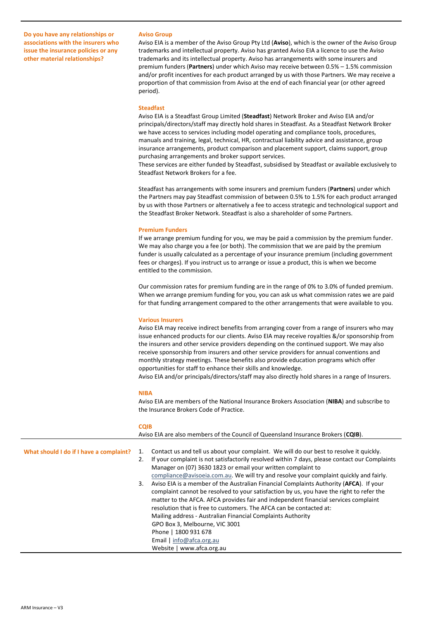**Do you have any relationships or associations with the insurers who issue the insurance policies or any other material relationships?**

### **Aviso Group**

Aviso EIA is a member of the Aviso Group Pty Ltd (**Aviso**), which is the owner of the Aviso Group trademarks and intellectual property. Aviso has granted Aviso EIA a licence to use the Aviso trademarks and its intellectual property. Aviso has arrangements with some insurers and premium funders (**Partners**) under which Aviso may receive between 0.5% – 1.5% commission and/or profit incentives for each product arranged by us with those Partners. We may receive a proportion of that commission from Aviso at the end of each financial year (or other agreed period).

## **Steadfast**

Aviso EIA is a Steadfast Group Limited (**Steadfast**) Network Broker and Aviso EIA and/or principals/directors/staff may directly hold shares in Steadfast. As a Steadfast Network Broker we have access to services including model operating and compliance tools, procedures, manuals and training, legal, technical, HR, contractual liability advice and assistance, group insurance arrangements, product comparison and placement support, claims support, group purchasing arrangements and broker support services.

These services are either funded by Steadfast, subsidised by Steadfast or available exclusively to Steadfast Network Brokers for a fee.

Steadfast has arrangements with some insurers and premium funders (**Partners**) under which the Partners may pay Steadfast commission of between 0.5% to 1.5% for each product arranged by us with those Partners or alternatively a fee to access strategic and technological support and the Steadfast Broker Network. Steadfast is also a shareholder of some Partners.

#### **Premium Funders**

If we arrange premium funding for you, we may be paid a commission by the premium funder. We may also charge you a fee (or both). The commission that we are paid by the premium funder is usually calculated as a percentage of your insurance premium (including government fees or charges). If you instruct us to arrange or issue a product, this is when we become entitled to the commission.

Our commission rates for premium funding are in the range of 0% to 3.0% of funded premium. When we arrange premium funding for you, you can ask us what commission rates we are paid for that funding arrangement compared to the other arrangements that were available to you.

## **Various Insurers**

Aviso EIA may receive indirect benefits from arranging cover from a range of insurers who may issue enhanced products for our clients. Aviso EIA may receive royalties &/or sponsorship from the insurers and other service providers depending on the continued support. We may also receive sponsorship from insurers and other service providers for annual conventions and monthly strategy meetings. These benefits also provide education programs which offer opportunities for staff to enhance their skills and knowledge.

Aviso EIA and/or principals/directors/staff may also directly hold shares in a range of Insurers.

### **NIBA**

**CQIB**

Aviso EIA are members of the National Insurance Brokers Association (**NIBA**) and subscribe to the Insurance Brokers Code of Practice.

|                                         | CUID                                                                                                                                                                                                                                                                                                                                                                                                                                                                                                                                                                                                                                        |  |
|-----------------------------------------|---------------------------------------------------------------------------------------------------------------------------------------------------------------------------------------------------------------------------------------------------------------------------------------------------------------------------------------------------------------------------------------------------------------------------------------------------------------------------------------------------------------------------------------------------------------------------------------------------------------------------------------------|--|
|                                         | Aviso EIA are also members of the Council of Queensland Insurance Brokers (CQIB).                                                                                                                                                                                                                                                                                                                                                                                                                                                                                                                                                           |  |
| What should I do if I have a complaint? | Contact us and tell us about your complaint. We will do our best to resolve it quickly.<br>If your complaint is not satisfactorily resolved within 7 days, please contact our Complaints<br>2.<br>Manager on (07) 3630 1823 or email your written complaint to<br>compliance@avisoeia.com.au. We will try and resolve your complaint quickly and fairly.<br>Aviso EIA is a member of the Australian Financial Complaints Authority (AFCA). If your<br>3.<br>complaint cannot be resolved to your satisfaction by us, you have the right to refer the<br>matter to the AFCA. AFCA provides fair and independent financial services complaint |  |
|                                         | resolution that is free to customers. The AFCA can be contacted at:<br>Mailing address - Australian Financial Complaints Authority<br>GPO Box 3, Melbourne, VIC 3001<br>Phone   1800 931 678<br><b>Email</b> $ $ info@afca.org.au<br>Website   www.afca.org.au                                                                                                                                                                                                                                                                                                                                                                              |  |